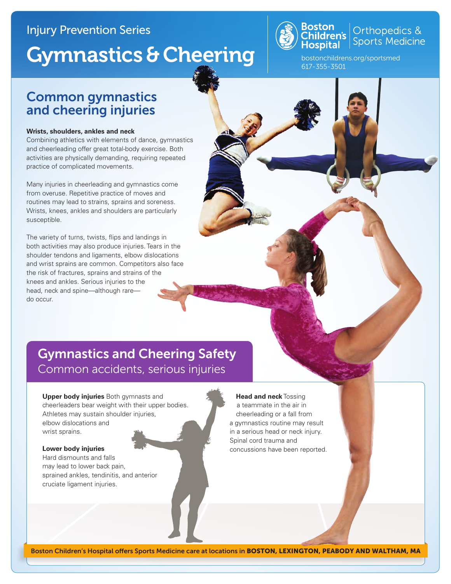### Injury Prevention Series

# Gymnastics & Cheering



# **Boston**<br>Children's **Children's**<br>**Hospital** Sports Medicine

bostonchildrens.org/sportsmed 617-355-3501

### Common gymnastics and cheering injuries

#### **Wrists, shoulders, ankles and neck**

Combining athletics with elements of dance, gymnastics and cheerleading offer great total-body exercise. Both activities are physically demanding, requiring repeated practice of complicated movements.

Many injuries in cheerleading and gymnastics come from overuse. Repetitive practice of moves and routines may lead to strains, sprains and soreness. Wrists, knees, ankles and shoulders are particularly susceptible.

The variety of turns, twists, flips and landings in both activities may also produce injuries. Tears in the shoulder tendons and ligaments, elbow dislocations and wrist sprains are common. Competitors also face the risk of fractures, sprains and strains of the knees and ankles. Serious injuries to the head, neck and spine—although rare do occur.

## Gymnastics and Cheering Safety Common accidents, serious injuries

**Upper body injuries** Both gymnasts and cheerleaders bear weight with their upper bodies. Athletes may sustain shoulder injuries, elbow dislocations and wrist sprains.

#### **Lower body injuries**

Hard dismounts and falls may lead to lower back pain, sprained ankles, tendinitis, and anterior cruciate ligament injuries.

#### **Head and neck** Tossing

a teammate in the air in cheerleading or a fall from a gymnastics routine may result in a serious head or neck injury. Spinal cord trauma and concussions have been reported.

Boston Children's Hospital offers Sports Medicine care at locations in BOSTON, LEXINGTON, PEABODY AND WALTHAM, MA